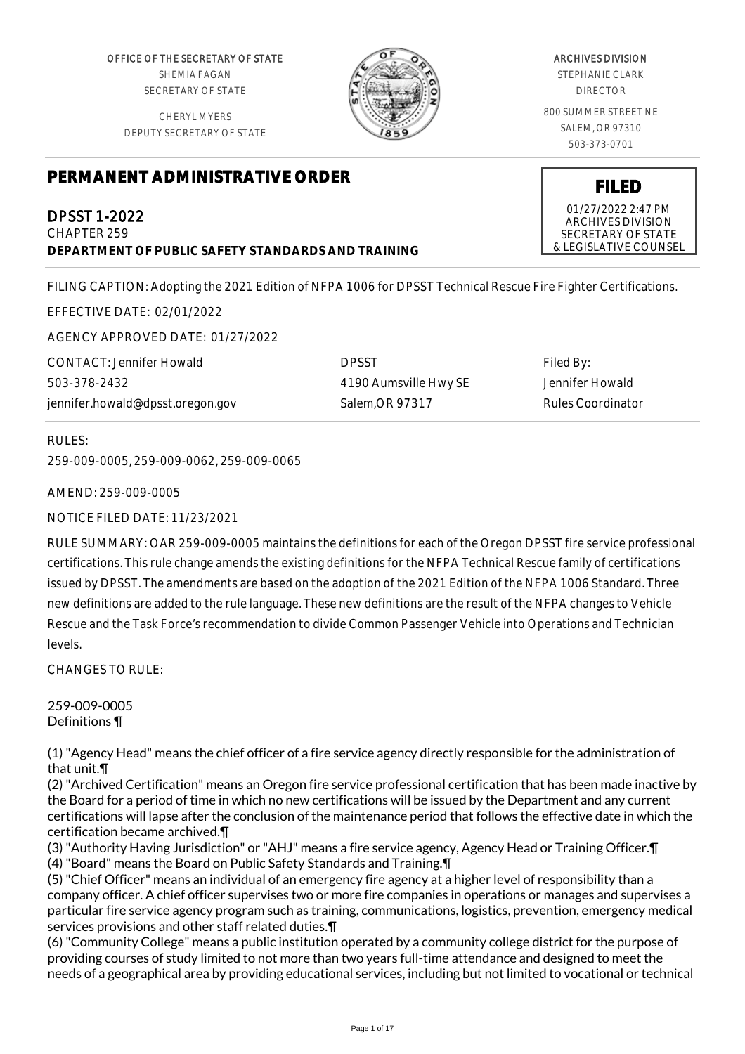OFFICE OF THE SECRETARY OF STATE SHEMIA FAGAN SECRETARY OF STATE

CHERYL MYERS DEPUTY SECRETARY OF STATE



#### ARCHIVES DIVISION STEPHANIE CLARK

DIRECTOR

800 SUMMER STREET NE SALEM, OR 97310 503-373-0701

**FILED** 01/27/2022 2:47 PM ARCHIVES DIVISION SECRETARY OF STATE & LEGISLATIVE COUNSEL

# **PERMANENT ADMINISTRATIVE ORDER**

DPSST 1-2022 CHAPTER 259 **DEPARTMENT OF PUBLIC SAFETY STANDARDS AND TRAINING**

FILING CAPTION: Adopting the 2021 Edition of NFPA 1006 for DPSST Technical Rescue Fire Fighter Certifications.

EFFECTIVE DATE: 02/01/2022

AGENCY APPROVED DATE: 01/27/2022

CONTACT: Jennifer Howald 503-378-2432 jennifer.howald@dpsst.oregon.gov

DPSST 4190 Aumsville Hwy SE Salem,OR 97317

Filed By: Jennifer Howald Rules Coordinator

RULES:

259-009-0005, 259-009-0062, 259-009-0065

AMEND: 259-009-0005

NOTICE FILED DATE: 11/23/2021

RULE SUMMARY: OAR 259-009-0005 maintains the definitions for each of the Oregon DPSST fire service professional certifications. This rule change amends the existing definitions for the NFPA Technical Rescue family of certifications issued by DPSST. The amendments are based on the adoption of the 2021 Edition of the NFPA 1006 Standard. Three new definitions are added to the rule language. These new definitions are the result of the NFPA changes to Vehicle Rescue and the Task Force's recommendation to divide Common Passenger Vehicle into Operations and Technician levels.

CHANGES TO RULE:

259-009-0005 Definitions ¶

(1) "Agency Head" means the chief officer of a fire service agency directly responsible for the administration of that unit.¶

(2) "Archived Certification" means an Oregon fire service professional certification that has been made inactive by the Board for a period of time in which no new certifications will be issued by the Department and any current certifications will lapse after the conclusion of the maintenance period that follows the effective date in which the certification became archived.¶

(3) "Authority Having Jurisdiction" or "AHJ" means a fire service agency, Agency Head or Training Officer.¶ (4) "Board" means the Board on Public Safety Standards and Training.¶

(5) "Chief Officer" means an individual of an emergency fire agency at a higher level of responsibility than a company officer. A chief officer supervises two or more fire companies in operations or manages and supervises a particular fire service agency program such as training, communications, logistics, prevention, emergency medical services provisions and other staff related duties.¶

(6) "Community College" means a public institution operated by a community college district for the purpose of providing courses of study limited to not more than two years full-time attendance and designed to meet the needs of a geographical area by providing educational services, including but not limited to vocational or technical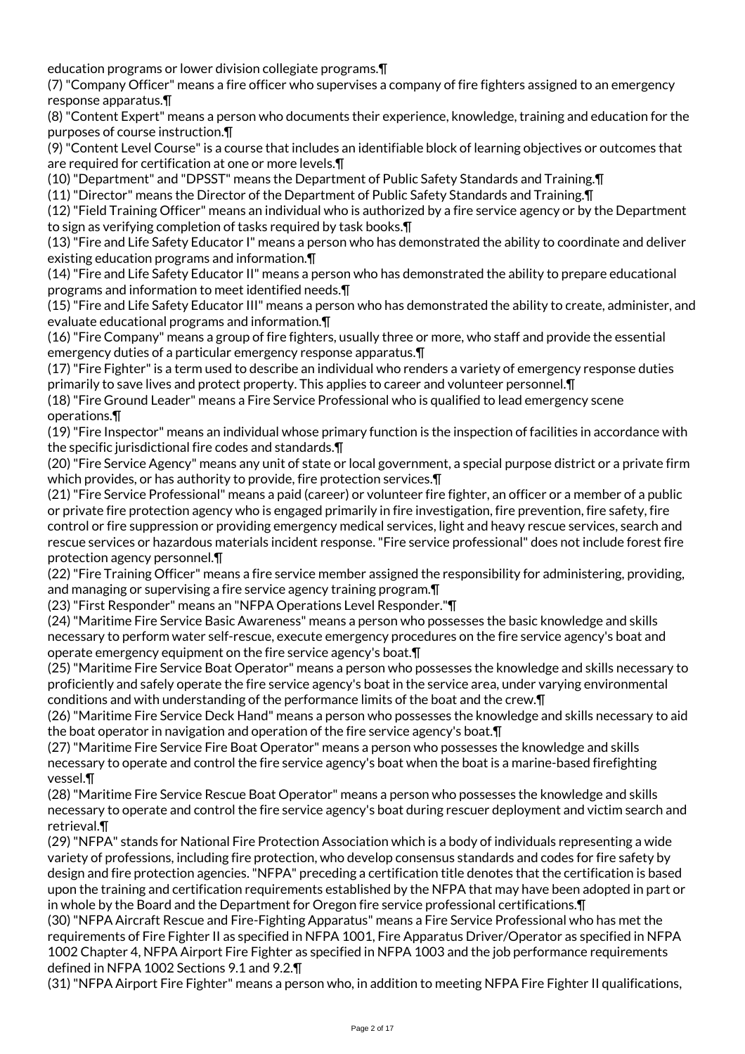education programs or lower division collegiate programs.¶

(7) "Company Officer" means a fire officer who supervises a company of fire fighters assigned to an emergency response apparatus.¶

(8) "Content Expert" means a person who documents their experience, knowledge, training and education for the purposes of course instruction.¶

(9) "Content Level Course" is a course that includes an identifiable block of learning objectives or outcomes that are required for certification at one or more levels.¶

(10) "Department" and "DPSST" means the Department of Public Safety Standards and Training.¶

(11) "Director" means the Director of the Department of Public Safety Standards and Training.¶

(12) "Field Training Officer" means an individual who is authorized by a fire service agency or by the Department to sign as verifying completion of tasks required by task books.¶

(13) "Fire and Life Safety Educator I" means a person who has demonstrated the ability to coordinate and deliver existing education programs and information.¶

(14) "Fire and Life Safety Educator II" means a person who has demonstrated the ability to prepare educational programs and information to meet identified needs.¶

(15) "Fire and Life Safety Educator III" means a person who has demonstrated the ability to create, administer, and evaluate educational programs and information.¶

(16) "Fire Company" means a group of fire fighters, usually three or more, who staff and provide the essential emergency duties of a particular emergency response apparatus.¶

(17) "Fire Fighter" is a term used to describe an individual who renders a variety of emergency response duties primarily to save lives and protect property. This applies to career and volunteer personnel.¶

(18) "Fire Ground Leader" means a Fire Service Professional who is qualified to lead emergency scene operations.¶

(19) "Fire Inspector" means an individual whose primary function is the inspection of facilities in accordance with the specific jurisdictional fire codes and standards.¶

(20) "Fire Service Agency" means any unit of state or local government, a special purpose district or a private firm which provides, or has authority to provide, fire protection services.¶

(21) "Fire Service Professional" means a paid (career) or volunteer fire fighter, an officer or a member of a public or private fire protection agency who is engaged primarily in fire investigation, fire prevention, fire safety, fire control or fire suppression or providing emergency medical services, light and heavy rescue services, search and rescue services or hazardous materials incident response. "Fire service professional" does not include forest fire protection agency personnel.¶

(22) "Fire Training Officer" means a fire service member assigned the responsibility for administering, providing, and managing or supervising a fire service agency training program.¶

(23) "First Responder" means an "NFPA Operations Level Responder."¶

(24) "Maritime Fire Service Basic Awareness" means a person who possesses the basic knowledge and skills necessary to perform water self-rescue, execute emergency procedures on the fire service agency's boat and operate emergency equipment on the fire service agency's boat.¶

(25) "Maritime Fire Service Boat Operator" means a person who possesses the knowledge and skills necessary to proficiently and safely operate the fire service agency's boat in the service area, under varying environmental conditions and with understanding of the performance limits of the boat and the crew.¶

(26) "Maritime Fire Service Deck Hand" means a person who possesses the knowledge and skills necessary to aid the boat operator in navigation and operation of the fire service agency's boat.¶

(27) "Maritime Fire Service Fire Boat Operator" means a person who possesses the knowledge and skills necessary to operate and control the fire service agency's boat when the boat is a marine-based firefighting vessel.¶

(28) "Maritime Fire Service Rescue Boat Operator" means a person who possesses the knowledge and skills necessary to operate and control the fire service agency's boat during rescuer deployment and victim search and retrieval.¶

(29) "NFPA" stands for National Fire Protection Association which is a body of individuals representing a wide variety of professions, including fire protection, who develop consensus standards and codes for fire safety by design and fire protection agencies. "NFPA" preceding a certification title denotes that the certification is based upon the training and certification requirements established by the NFPA that may have been adopted in part or in whole by the Board and the Department for Oregon fire service professional certifications.¶

(30) "NFPA Aircraft Rescue and Fire-Fighting Apparatus" means a Fire Service Professional who has met the requirements of Fire Fighter II as specified in NFPA 1001, Fire Apparatus Driver/Operator as specified in NFPA 1002 Chapter 4, NFPA Airport Fire Fighter as specified in NFPA 1003 and the job performance requirements defined in NFPA 1002 Sections 9.1 and 9.2.¶

(31) "NFPA Airport Fire Fighter" means a person who, in addition to meeting NFPA Fire Fighter II qualifications,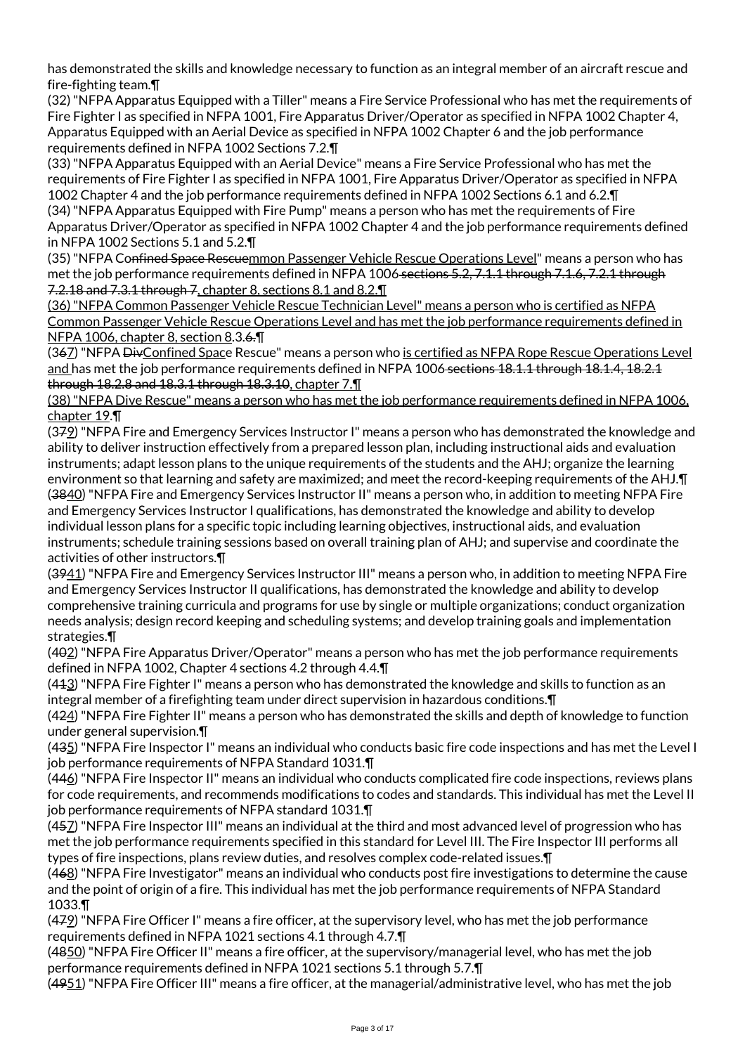has demonstrated the skills and knowledge necessary to function as an integral member of an aircraft rescue and fire-fighting team.¶

(32) "NFPA Apparatus Equipped with a Tiller" means a Fire Service Professional who has met the requirements of Fire Fighter I as specified in NFPA 1001, Fire Apparatus Driver/Operator as specified in NFPA 1002 Chapter 4, Apparatus Equipped with an Aerial Device as specified in NFPA 1002 Chapter 6 and the job performance requirements defined in NFPA 1002 Sections 7.2.¶

(33) "NFPA Apparatus Equipped with an Aerial Device" means a Fire Service Professional who has met the requirements of Fire Fighter I as specified in NFPA 1001, Fire Apparatus Driver/Operator as specified in NFPA 1002 Chapter 4 and the job performance requirements defined in NFPA 1002 Sections 6.1 and 6.2.¶

(34) "NFPA Apparatus Equipped with Fire Pump" means a person who has met the requirements of Fire Apparatus Driver/Operator as specified in NFPA 1002 Chapter 4 and the job performance requirements defined in NFPA 1002 Sections 5.1 and 5.2.¶

(35) "NFPA Confined Space Rescuemmon Passenger Vehicle Rescue Operations Level" means a person who has met the job performance requirements defined in NFPA 1006 sections 5.2, 7.1.1 through 7.1.6, 7.2.1 through 7.2.18 and 7.3.1 through 7, chapter 8, sections 8.1 and 8.2.¶

(36) "NFPA Common Passenger Vehicle Rescue Technician Level" means a person who is certified as NFPA Common Passenger Vehicle Rescue Operations Level and has met the job performance requirements defined in NFPA 1006, chapter 8, section 8.3.6.¶

(367) "NFPA DivConfined Space Rescue" means a person who is certified as NFPA Rope Rescue Operations Level and has met the job performance requirements defined in NFPA 1006 sections 18.1.1 through 18.1.4, 18.2.1 through 18.2.8 and 18.3.1 through 18.3.10, chapter 7.¶

(38) "NFPA Dive Rescue" means a person who has met the job performance requirements defined in NFPA 1006, chapter 19.¶

(379) "NFPA Fire and Emergency Services Instructor I" means a person who has demonstrated the knowledge and ability to deliver instruction effectively from a prepared lesson plan, including instructional aids and evaluation instruments; adapt lesson plans to the unique requirements of the students and the AHJ; organize the learning environment so that learning and safety are maximized; and meet the record-keeping requirements of the AHJ.¶ (3840) "NFPA Fire and Emergency Services Instructor II" means a person who, in addition to meeting NFPA Fire and Emergency Services Instructor I qualifications, has demonstrated the knowledge and ability to develop individual lesson plans for a specific topic including learning objectives, instructional aids, and evaluation instruments; schedule training sessions based on overall training plan of AHJ; and supervise and coordinate the activities of other instructors.¶

(3941) "NFPA Fire and Emergency Services Instructor III" means a person who, in addition to meeting NFPA Fire and Emergency Services Instructor II qualifications, has demonstrated the knowledge and ability to develop comprehensive training curricula and programs for use by single or multiple organizations; conduct organization needs analysis; design record keeping and scheduling systems; and develop training goals and implementation strategies.¶

(402) "NFPA Fire Apparatus Driver/Operator" means a person who has met the job performance requirements defined in NFPA 1002, Chapter 4 sections 4.2 through 4.4.¶

(413) "NFPA Fire Fighter I" means a person who has demonstrated the knowledge and skills to function as an integral member of a firefighting team under direct supervision in hazardous conditions.¶

(424) "NFPA Fire Fighter II" means a person who has demonstrated the skills and depth of knowledge to function under general supervision.¶

(435) "NFPA Fire Inspector I" means an individual who conducts basic fire code inspections and has met the Level I job performance requirements of NFPA Standard 1031.¶

(446) "NFPA Fire Inspector II" means an individual who conducts complicated fire code inspections, reviews plans for code requirements, and recommends modifications to codes and standards. This individual has met the Level II job performance requirements of NFPA standard 1031.¶

(457) "NFPA Fire Inspector III" means an individual at the third and most advanced level of progression who has met the job performance requirements specified in this standard for Level III. The Fire Inspector III performs all types of fire inspections, plans review duties, and resolves complex code-related issues.¶

(468) "NFPA Fire Investigator" means an individual who conducts post fire investigations to determine the cause and the point of origin of a fire. This individual has met the job performance requirements of NFPA Standard 1033.¶

(479) "NFPA Fire Officer I" means a fire officer, at the supervisory level, who has met the job performance requirements defined in NFPA 1021 sections 4.1 through 4.7.¶

(4850) "NFPA Fire Officer II" means a fire officer, at the supervisory/managerial level, who has met the job performance requirements defined in NFPA 1021 sections 5.1 through 5.7.¶

(4951) "NFPA Fire Officer III" means a fire officer, at the managerial/administrative level, who has met the job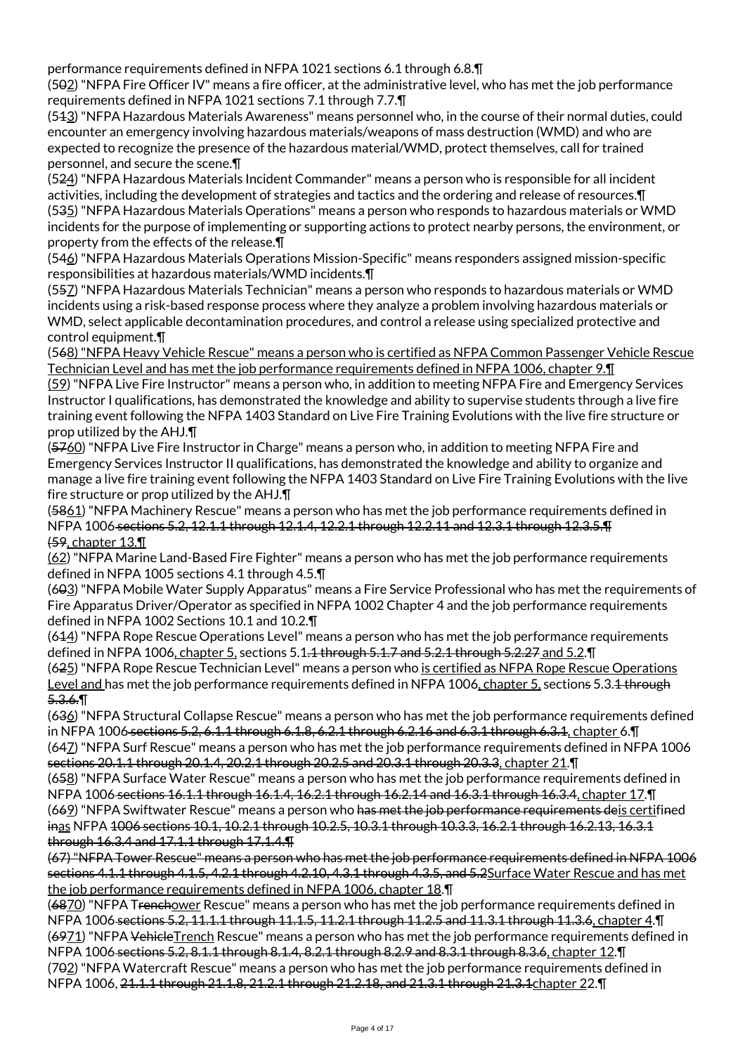performance requirements defined in NFPA 1021 sections 6.1 through 6.8.¶

(502) "NFPA Fire Officer IV" means a fire officer, at the administrative level, who has met the job performance requirements defined in NFPA 1021 sections 7.1 through 7.7.¶

(513) "NFPA Hazardous Materials Awareness" means personnel who, in the course of their normal duties, could encounter an emergency involving hazardous materials/weapons of mass destruction (WMD) and who are expected to recognize the presence of the hazardous material/WMD, protect themselves, call for trained personnel, and secure the scene.¶

(524) "NFPA Hazardous Materials Incident Commander" means a person who is responsible for all incident activities, including the development of strategies and tactics and the ordering and release of resources.¶ (535) "NFPA Hazardous Materials Operations" means a person who responds to hazardous materials or WMD incidents for the purpose of implementing or supporting actions to protect nearby persons, the environment, or property from the effects of the release.¶

(546) "NFPA Hazardous Materials Operations Mission-Specific" means responders assigned mission-specific responsibilities at hazardous materials/WMD incidents.¶

(557) "NFPA Hazardous Materials Technician" means a person who responds to hazardous materials or WMD incidents using a risk-based response process where they analyze a problem involving hazardous materials or WMD, select applicable decontamination procedures, and control a release using specialized protective and control equipment.¶

(568) "NFPA Heavy Vehicle Rescue" means a person who is certified as NFPA Common Passenger Vehicle Rescue Technician Level and has met the job performance requirements defined in NFPA 1006, chapter 9.¶

(59) "NFPA Live Fire Instructor" means a person who, in addition to meeting NFPA Fire and Emergency Services Instructor I qualifications, has demonstrated the knowledge and ability to supervise students through a live fire training event following the NFPA 1403 Standard on Live Fire Training Evolutions with the live fire structure or prop utilized by the AHJ.¶

(5760) "NFPA Live Fire Instructor in Charge" means a person who, in addition to meeting NFPA Fire and Emergency Services Instructor II qualifications, has demonstrated the knowledge and ability to organize and manage a live fire training event following the NFPA 1403 Standard on Live Fire Training Evolutions with the live fire structure or prop utilized by the AHJ.¶

(5861) "NFPA Machinery Rescue" means a person who has met the job performance requirements defined in NFPA 1006 sections 5.2, 12.1.1 through 12.1.4, 12.2.1 through 12.2.11 and 12.3.1 through 12.3.5.¶ (59, chapter 13.¶

(62) "NFPA Marine Land-Based Fire Fighter" means a person who has met the job performance requirements defined in NFPA 1005 sections 4.1 through 4.5.¶

(603) "NFPA Mobile Water Supply Apparatus" means a Fire Service Professional who has met the requirements of Fire Apparatus Driver/Operator as specified in NFPA 1002 Chapter 4 and the job performance requirements defined in NFPA 1002 Sections 10.1 and 10.2.¶

(614) "NFPA Rope Rescue Operations Level" means a person who has met the job performance requirements defined in NFPA 1006, chapter 5, sections 5.1.<del>1 through 5.1.7 and 5.2.1 through 5.2.27</del> and 5.2.¶ (625) "NFPA Rope Rescue Technician Level" means a person who is certified as NFPA Rope Rescue Operations Level and has met the job performance requirements defined in NFPA 1006, chapter 5, sections 5.3.<del>1 through</del> 5.3.6.¶

(636) "NFPA Structural Collapse Rescue" means a person who has met the job performance requirements defined in NFPA 1006 sections 5.2, 6.1.1 through 6.1.8, 6.2.1 through 6.2.16 and 6.3.1 through 6.3.1, chapter 6.¶ (647) "NFPA Surf Rescue" means a person who has met the job performance requirements defined in NFPA 1006 sections 20.1.1 through 20.1.4, 20.2.1 through 20.2.5 and 20.3.1 through 20.3.3, chapter 21.¶ (658) "NFPA Surface Water Rescue" means a person who has met the job performance requirements defined in

NFPA 1006 sections 16.1.1 through 16.1.4, 16.2.1 through 16.2.14 and 16.3.1 through 16.3.4, chapter 17.¶ (669) "NFPA Swiftwater Rescue" means a person who has met the job performance requirements deis certifined inas NFPA 1006 sections 10.1, 10.2.1 through 10.2.5, 10.3.1 through 10.3.3, 16.2.1 through 16.2.13, 16.3.1 through 16.3.4 and 17.1.1 through 17.1.4.¶

(67) "NFPA Tower Rescue" means a person who has met the job performance requirements defined in NFPA 1006 sections 4.1.1 through 4.1.5, 4.2.1 through 4.2.10, 4.3.1 through 4.3.5, and 5.2Surface Water Rescue and has met the job performance requirements defined in NFPA 1006, chapter 18.¶

(6870) "NFPA Trenchower Rescue" means a person who has met the job performance requirements defined in NFPA 1006 sections 5.2, 11.1.1 through 11.1.5, 11.2.1 through 11.2.5 and 11.3.1 through 11.3.6, chapter 4.¶  $(6971)$  "NFPA VehicleTrench Rescue" means a person who has met the job performance requirements defined in NFPA 1006 sections 5.2, 8.1.1 through 8.1.4, 8.2.1 through 8.2.9 and 8.3.1 through 8.3.6, chapter 12.¶ (702) "NFPA Watercraft Rescue" means a person who has met the job performance requirements defined in NFPA 1006, 21.1.1 through 21.1.8, 21.2.1 through 21.2.18, and 21.3.1 through 21.3.1chapter 22.¶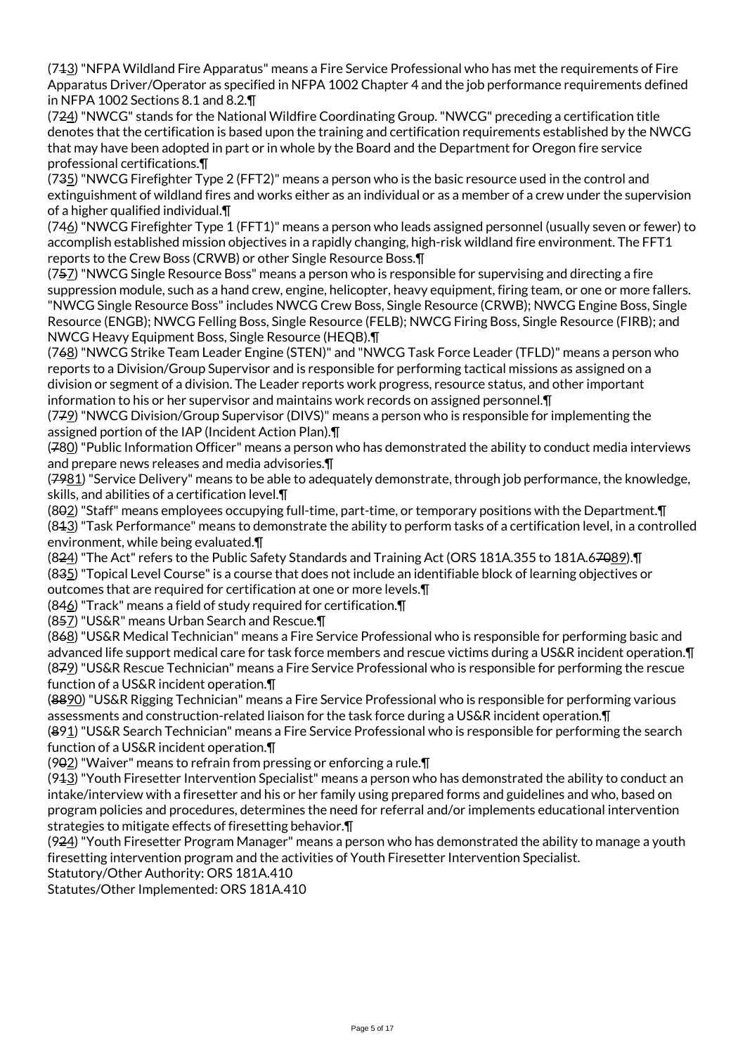(713) "NFPA Wildland Fire Apparatus" means a Fire Service Professional who has met the requirements of Fire Apparatus Driver/Operator as specified in NFPA 1002 Chapter 4 and the job performance requirements defined in NFPA 1002 Sections 8.1 and 8.2.¶

(724) "NWCG" stands for the National Wildfire Coordinating Group. "NWCG" preceding a certification title denotes that the certification is based upon the training and certification requirements established by the NWCG that may have been adopted in part or in whole by the Board and the Department for Oregon fire service professional certifications.¶

(735) "NWCG Firefighter Type 2 (FFT2)" means a person who is the basic resource used in the control and extinguishment of wildland fires and works either as an individual or as a member of a crew under the supervision of a higher qualified individual.¶

(746) "NWCG Firefighter Type 1 (FFT1)" means a person who leads assigned personnel (usually seven or fewer) to accomplish established mission objectives in a rapidly changing, high-risk wildland fire environment. The FFT1 reports to the Crew Boss (CRWB) or other Single Resource Boss.¶

(757) "NWCG Single Resource Boss" means a person who is responsible for supervising and directing a fire suppression module, such as a hand crew, engine, helicopter, heavy equipment, firing team, or one or more fallers. "NWCG Single Resource Boss" includes NWCG Crew Boss, Single Resource (CRWB); NWCG Engine Boss, Single Resource (ENGB); NWCG Felling Boss, Single Resource (FELB); NWCG Firing Boss, Single Resource (FIRB); and NWCG Heavy Equipment Boss, Single Resource (HEQB).¶

(768) "NWCG Strike Team Leader Engine (STEN)" and "NWCG Task Force Leader (TFLD)" means a person who reports to a Division/Group Supervisor and is responsible for performing tactical missions as assigned on a division or segment of a division. The Leader reports work progress, resource status, and other important information to his or her supervisor and maintains work records on assigned personnel.¶

(779) "NWCG Division/Group Supervisor (DIVS)" means a person who is responsible for implementing the assigned portion of the IAP (Incident Action Plan).¶

(780) "Public Information Officer" means a person who has demonstrated the ability to conduct media interviews and prepare news releases and media advisories.¶

(7981) "Service Delivery" means to be able to adequately demonstrate, through job performance, the knowledge, skills, and abilities of a certification level.¶

(802) "Staff" means employees occupying full-time, part-time, or temporary positions with the Department.¶ (813) "Task Performance" means to demonstrate the ability to perform tasks of a certification level, in a controlled environment, while being evaluated.¶

(824) "The Act" refers to the Public Safety Standards and Training Act (ORS 181A.355 to 181A.67089).¶ (835) "Topical Level Course" is a course that does not include an identifiable block of learning objectives or outcomes that are required for certification at one or more levels.¶

(846) "Track" means a field of study required for certification.¶

(857) "US&R" means Urban Search and Rescue.¶

(868) "US&R Medical Technician" means a Fire Service Professional who is responsible for performing basic and advanced life support medical care for task force members and rescue victims during a US&R incident operation.¶ (879) "US&R Rescue Technician" means a Fire Service Professional who is responsible for performing the rescue function of a US&R incident operation.¶

(8890) "US&R Rigging Technician" means a Fire Service Professional who is responsible for performing various assessments and construction-related liaison for the task force during a US&R incident operation.¶

(891) "US&R Search Technician" means a Fire Service Professional who is responsible for performing the search function of a US&R incident operation.¶

(902) "Waiver" means to refrain from pressing or enforcing a rule.¶

(913) "Youth Firesetter Intervention Specialist" means a person who has demonstrated the ability to conduct an intake/interview with a firesetter and his or her family using prepared forms and guidelines and who, based on program policies and procedures, determines the need for referral and/or implements educational intervention strategies to mitigate effects of firesetting behavior.¶

(924) "Youth Firesetter Program Manager" means a person who has demonstrated the ability to manage a youth firesetting intervention program and the activities of Youth Firesetter Intervention Specialist.

Statutory/Other Authority: ORS 181A.410

Statutes/Other Implemented: ORS 181A.410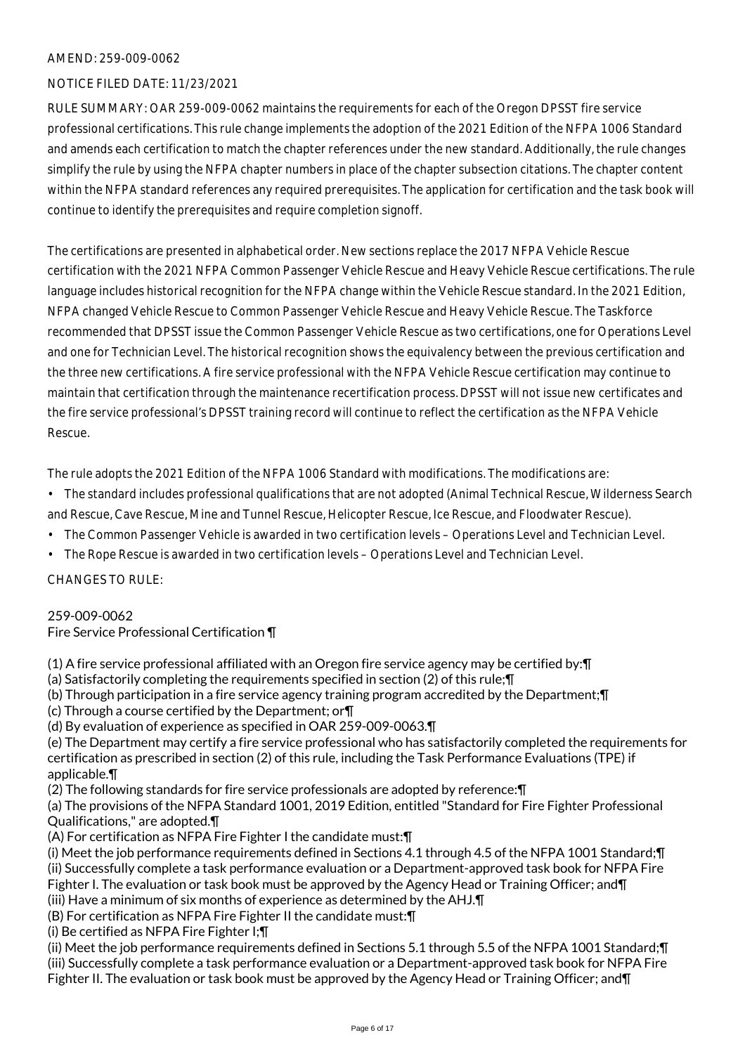# AMEND: 259-009-0062

## NOTICE FILED DATE: 11/23/2021

RULE SUMMARY: OAR 259-009-0062 maintains the requirements for each of the Oregon DPSST fire service professional certifications. This rule change implements the adoption of the 2021 Edition of the NFPA 1006 Standard and amends each certification to match the chapter references under the new standard. Additionally, the rule changes simplify the rule by using the NFPA chapter numbers in place of the chapter subsection citations. The chapter content within the NFPA standard references any required prerequisites. The application for certification and the task book will continue to identify the prerequisites and require completion signoff.

The certifications are presented in alphabetical order. New sections replace the 2017 NFPA Vehicle Rescue certification with the 2021 NFPA Common Passenger Vehicle Rescue and Heavy Vehicle Rescue certifications. The rule language includes historical recognition for the NFPA change within the Vehicle Rescue standard. In the 2021 Edition, NFPA changed Vehicle Rescue to Common Passenger Vehicle Rescue and Heavy Vehicle Rescue. The Taskforce recommended that DPSST issue the Common Passenger Vehicle Rescue as two certifications, one for Operations Level and one for Technician Level. The historical recognition shows the equivalency between the previous certification and the three new certifications. A fire service professional with the NFPA Vehicle Rescue certification may continue to maintain that certification through the maintenance recertification process. DPSST will not issue new certificates and the fire service professional's DPSST training record will continue to reflect the certification as the NFPA Vehicle Rescue.

The rule adopts the 2021 Edition of the NFPA 1006 Standard with modifications. The modifications are:

- The standard includes professional qualifications that are not adopted (Animal Technical Rescue, Wilderness Search and Rescue, Cave Rescue, Mine and Tunnel Rescue, Helicopter Rescue, Ice Rescue, and Floodwater Rescue).
- The Common Passenger Vehicle is awarded in two certification levels Operations Level and Technician Level.
- The Rope Rescue is awarded in two certification levels Operations Level and Technician Level.

## CHANGES TO RULE:

## 259-009-0062

## Fire Service Professional Certification ¶

(1) A fire service professional affiliated with an Oregon fire service agency may be certified by:¶

(a) Satisfactorily completing the requirements specified in section (2) of this rule;¶

(b) Through participation in a fire service agency training program accredited by the Department;¶

- (c) Through a course certified by the Department; or¶
- (d) By evaluation of experience as specified in OAR 259-009-0063.¶

(e) The Department may certify a fire service professional who has satisfactorily completed the requirements for certification as prescribed in section (2) of this rule, including the Task Performance Evaluations (TPE) if applicable.¶

(2) The following standards for fire service professionals are adopted by reference:¶

(a) The provisions of the NFPA Standard 1001, 2019 Edition, entitled "Standard for Fire Fighter Professional Qualifications," are adopted.¶

(A) For certification as NFPA Fire Fighter I the candidate must:¶

(i) Meet the job performance requirements defined in Sections 4.1 through 4.5 of the NFPA 1001 Standard;¶ (ii) Successfully complete a task performance evaluation or a Department-approved task book for NFPA Fire Fighter I. The evaluation or task book must be approved by the Agency Head or Training Officer; and T (iii) Have a minimum of six months of experience as determined by the AHJ.¶

(B) For certification as NFPA Fire Fighter II the candidate must:¶

(i) Be certified as NFPA Fire Fighter I;¶

(ii) Meet the job performance requirements defined in Sections 5.1 through 5.5 of the NFPA 1001 Standard;¶ (iii) Successfully complete a task performance evaluation or a Department-approved task book for NFPA Fire Fighter II. The evaluation or task book must be approved by the Agency Head or Training Officer; and T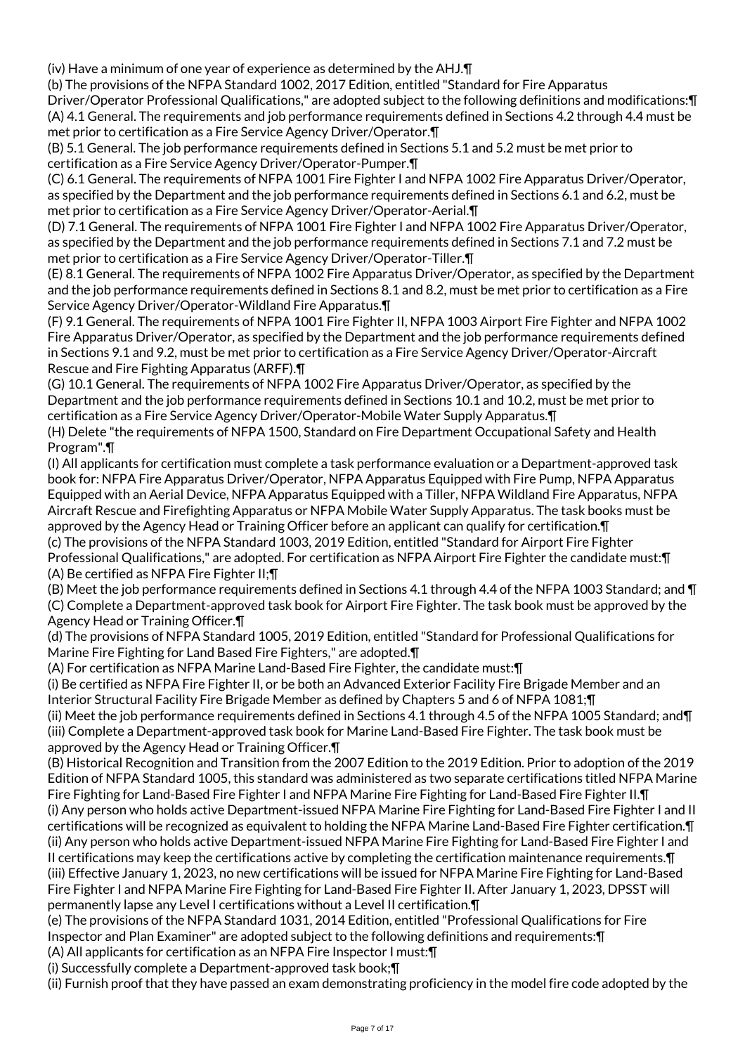(iv) Have a minimum of one year of experience as determined by the AHJ.¶

(b) The provisions of the NFPA Standard 1002, 2017 Edition, entitled "Standard for Fire Apparatus

Driver/Operator Professional Qualifications," are adopted subject to the following definitions and modifications:¶ (A) 4.1 General. The requirements and job performance requirements defined in Sections 4.2 through 4.4 must be met prior to certification as a Fire Service Agency Driver/Operator.¶

(B) 5.1 General. The job performance requirements defined in Sections 5.1 and 5.2 must be met prior to certification as a Fire Service Agency Driver/Operator-Pumper.¶

(C) 6.1 General. The requirements of NFPA 1001 Fire Fighter I and NFPA 1002 Fire Apparatus Driver/Operator, as specified by the Department and the job performance requirements defined in Sections 6.1 and 6.2, must be met prior to certification as a Fire Service Agency Driver/Operator-Aerial.¶

(D) 7.1 General. The requirements of NFPA 1001 Fire Fighter I and NFPA 1002 Fire Apparatus Driver/Operator, as specified by the Department and the job performance requirements defined in Sections 7.1 and 7.2 must be met prior to certification as a Fire Service Agency Driver/Operator-Tiller.¶

(E) 8.1 General. The requirements of NFPA 1002 Fire Apparatus Driver/Operator, as specified by the Department and the job performance requirements defined in Sections 8.1 and 8.2, must be met prior to certification as a Fire Service Agency Driver/Operator-Wildland Fire Apparatus.¶

(F) 9.1 General. The requirements of NFPA 1001 Fire Fighter II, NFPA 1003 Airport Fire Fighter and NFPA 1002 Fire Apparatus Driver/Operator, as specified by the Department and the job performance requirements defined in Sections 9.1 and 9.2, must be met prior to certification as a Fire Service Agency Driver/Operator-Aircraft Rescue and Fire Fighting Apparatus (ARFF).¶

(G) 10.1 General. The requirements of NFPA 1002 Fire Apparatus Driver/Operator, as specified by the Department and the job performance requirements defined in Sections 10.1 and 10.2, must be met prior to certification as a Fire Service Agency Driver/Operator-Mobile Water Supply Apparatus.¶

(H) Delete "the requirements of NFPA 1500, Standard on Fire Department Occupational Safety and Health Program".¶

(I) All applicants for certification must complete a task performance evaluation or a Department-approved task book for: NFPA Fire Apparatus Driver/Operator, NFPA Apparatus Equipped with Fire Pump, NFPA Apparatus Equipped with an Aerial Device, NFPA Apparatus Equipped with a Tiller, NFPA Wildland Fire Apparatus, NFPA Aircraft Rescue and Firefighting Apparatus or NFPA Mobile Water Supply Apparatus. The task books must be approved by the Agency Head or Training Officer before an applicant can qualify for certification.¶ (c) The provisions of the NFPA Standard 1003, 2019 Edition, entitled "Standard for Airport Fire Fighter Professional Qualifications," are adopted. For certification as NFPA Airport Fire Fighter the candidate must:¶

(A) Be certified as NFPA Fire Fighter II;¶

(B) Meet the job performance requirements defined in Sections 4.1 through 4.4 of the NFPA 1003 Standard; and ¶ (C) Complete a Department-approved task book for Airport Fire Fighter. The task book must be approved by the Agency Head or Training Officer.¶

(d) The provisions of NFPA Standard 1005, 2019 Edition, entitled "Standard for Professional Qualifications for Marine Fire Fighting for Land Based Fire Fighters," are adopted.¶

(A) For certification as NFPA Marine Land-Based Fire Fighter, the candidate must:¶

(i) Be certified as NFPA Fire Fighter II, or be both an Advanced Exterior Facility Fire Brigade Member and an Interior Structural Facility Fire Brigade Member as defined by Chapters 5 and 6 of NFPA 1081;¶

(ii) Meet the job performance requirements defined in Sections 4.1 through 4.5 of the NFPA 1005 Standard; and¶ (iii) Complete a Department-approved task book for Marine Land-Based Fire Fighter. The task book must be approved by the Agency Head or Training Officer.¶

(B) Historical Recognition and Transition from the 2007 Edition to the 2019 Edition. Prior to adoption of the 2019 Edition of NFPA Standard 1005, this standard was administered as two separate certifications titled NFPA Marine Fire Fighting for Land-Based Fire Fighter I and NFPA Marine Fire Fighting for Land-Based Fire Fighter II.¶ (i) Any person who holds active Department-issued NFPA Marine Fire Fighting for Land-Based Fire Fighter I and II certifications will be recognized as equivalent to holding the NFPA Marine Land-Based Fire Fighter certification.¶ (ii) Any person who holds active Department-issued NFPA Marine Fire Fighting for Land-Based Fire Fighter I and II certifications may keep the certifications active by completing the certification maintenance requirements.¶ (iii) Effective January 1, 2023, no new certifications will be issued for NFPA Marine Fire Fighting for Land-Based Fire Fighter I and NFPA Marine Fire Fighting for Land-Based Fire Fighter II. After January 1, 2023, DPSST will permanently lapse any Level I certifications without a Level II certification.¶

(e) The provisions of the NFPA Standard 1031, 2014 Edition, entitled "Professional Qualifications for Fire Inspector and Plan Examiner" are adopted subject to the following definitions and requirements:¶

(A) All applicants for certification as an NFPA Fire Inspector I must:¶

(i) Successfully complete a Department-approved task book;¶

(ii) Furnish proof that they have passed an exam demonstrating proficiency in the model fire code adopted by the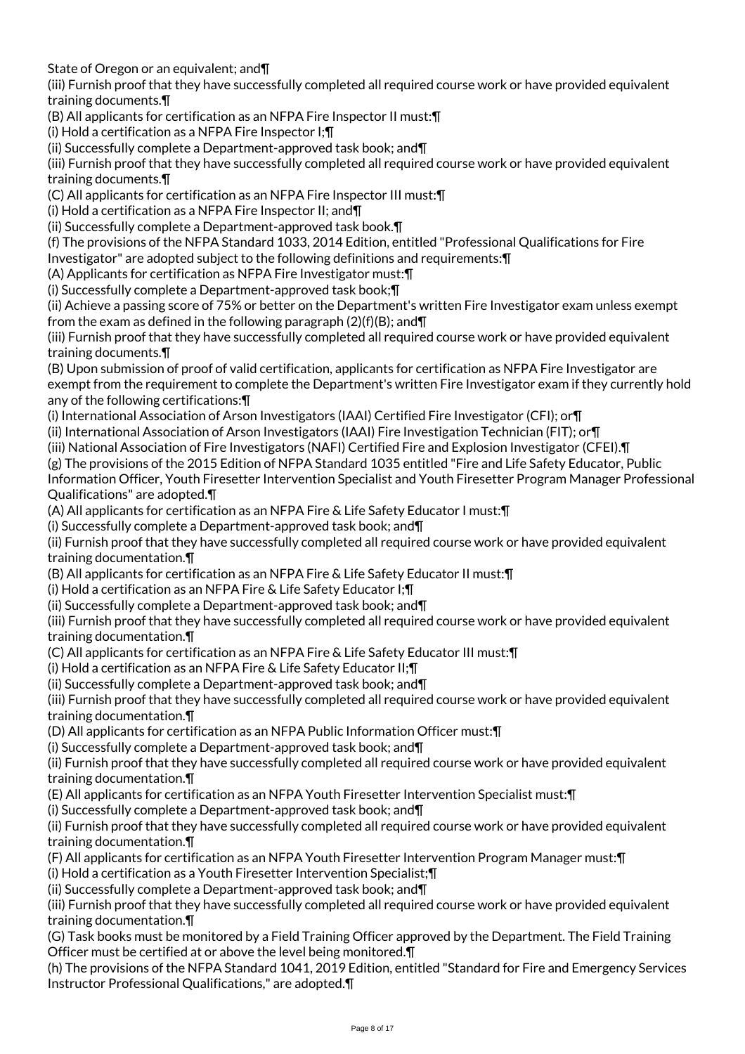State of Oregon or an equivalent; and¶

(iii) Furnish proof that they have successfully completed all required course work or have provided equivalent training documents.¶

(B) All applicants for certification as an NFPA Fire Inspector II must:¶

(i) Hold a certification as a NFPA Fire Inspector I;¶

(ii) Successfully complete a Department-approved task book; and¶

(iii) Furnish proof that they have successfully completed all required course work or have provided equivalent training documents.¶

(C) All applicants for certification as an NFPA Fire Inspector III must:¶

(i) Hold a certification as a NFPA Fire Inspector II; and¶

(ii) Successfully complete a Department-approved task book.¶

(f) The provisions of the NFPA Standard 1033, 2014 Edition, entitled "Professional Qualifications for Fire

Investigator" are adopted subject to the following definitions and requirements:¶

(A) Applicants for certification as NFPA Fire Investigator must:¶

(i) Successfully complete a Department-approved task book;¶

(ii) Achieve a passing score of 75% or better on the Department's written Fire Investigator exam unless exempt from the exam as defined in the following paragraph  $(2)(f)(B)$ ; and  $\P$ 

(iii) Furnish proof that they have successfully completed all required course work or have provided equivalent training documents.¶

(B) Upon submission of proof of valid certification, applicants for certification as NFPA Fire Investigator are exempt from the requirement to complete the Department's written Fire Investigator exam if they currently hold any of the following certifications:¶

(i) International Association of Arson Investigators (IAAI) Certified Fire Investigator (CFI); or¶

(ii) International Association of Arson Investigators (IAAI) Fire Investigation Technician (FIT); or¶

(iii) National Association of Fire Investigators (NAFI) Certified Fire and Explosion Investigator (CFEI).¶

(g) The provisions of the 2015 Edition of NFPA Standard 1035 entitled "Fire and Life Safety Educator, Public

Information Officer, Youth Firesetter Intervention Specialist and Youth Firesetter Program Manager Professional Qualifications" are adopted.¶

(A) All applicants for certification as an NFPA Fire & Life Safety Educator I must:¶

(i) Successfully complete a Department-approved task book; and¶

(ii) Furnish proof that they have successfully completed all required course work or have provided equivalent training documentation.¶

(B) All applicants for certification as an NFPA Fire & Life Safety Educator II must:¶

(i) Hold a certification as an NFPA Fire & Life Safety Educator I;¶

(ii) Successfully complete a Department-approved task book; and¶

(iii) Furnish proof that they have successfully completed all required course work or have provided equivalent training documentation.¶

(C) All applicants for certification as an NFPA Fire & Life Safety Educator III must:¶

(i) Hold a certification as an NFPA Fire & Life Safety Educator II;¶

(ii) Successfully complete a Department-approved task book; and¶

(iii) Furnish proof that they have successfully completed all required course work or have provided equivalent training documentation.¶

(D) All applicants for certification as an NFPA Public Information Officer must:¶

(i) Successfully complete a Department-approved task book; and¶

(ii) Furnish proof that they have successfully completed all required course work or have provided equivalent training documentation.¶

(E) All applicants for certification as an NFPA Youth Firesetter Intervention Specialist must:¶

(i) Successfully complete a Department-approved task book; and¶

(ii) Furnish proof that they have successfully completed all required course work or have provided equivalent training documentation.¶

(F) All applicants for certification as an NFPA Youth Firesetter Intervention Program Manager must:¶

(i) Hold a certification as a Youth Firesetter Intervention Specialist;¶

(ii) Successfully complete a Department-approved task book; and¶

(iii) Furnish proof that they have successfully completed all required course work or have provided equivalent training documentation.¶

(G) Task books must be monitored by a Field Training Officer approved by the Department. The Field Training Officer must be certified at or above the level being monitored.¶

(h) The provisions of the NFPA Standard 1041, 2019 Edition, entitled "Standard for Fire and Emergency Services Instructor Professional Qualifications," are adopted.¶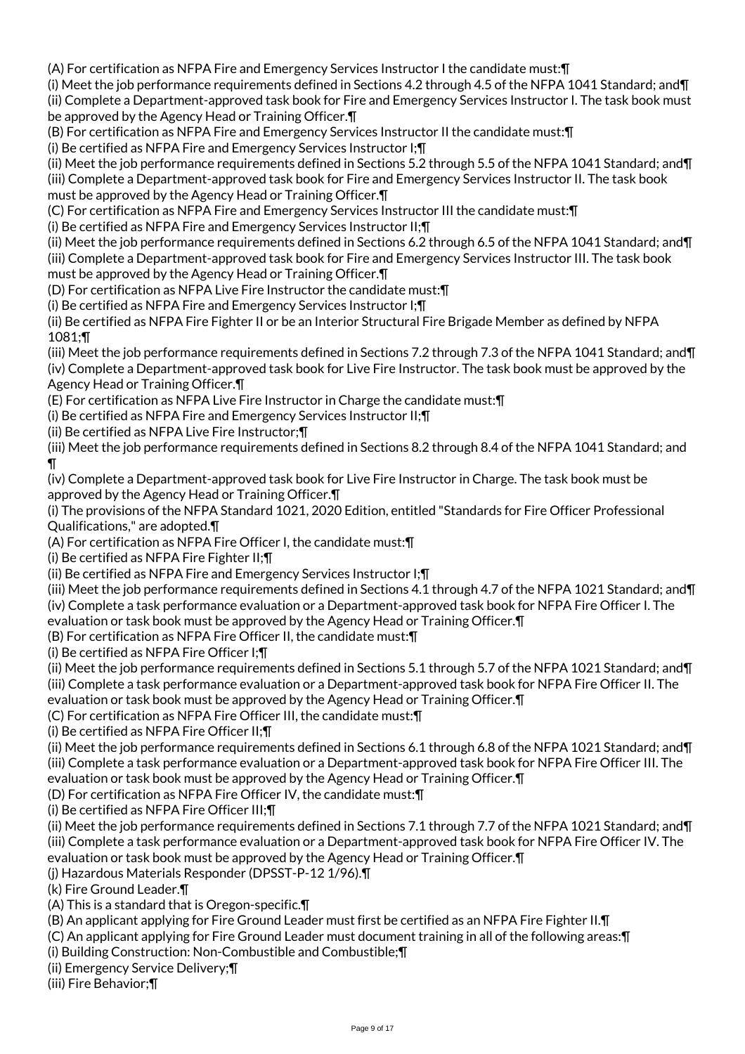(A) For certification as NFPA Fire and Emergency Services Instructor I the candidate must:¶

(i) Meet the job performance requirements defined in Sections 4.2 through 4.5 of the NFPA 1041 Standard; and¶ (ii) Complete a Department-approved task book for Fire and Emergency Services Instructor I. The task book must be approved by the Agency Head or Training Officer.¶

(B) For certification as NFPA Fire and Emergency Services Instructor II the candidate must:¶

(i) Be certified as NFPA Fire and Emergency Services Instructor I;¶

(ii) Meet the job performance requirements defined in Sections 5.2 through 5.5 of the NFPA 1041 Standard; and¶ (iii) Complete a Department-approved task book for Fire and Emergency Services Instructor II. The task book

must be approved by the Agency Head or Training Officer.¶ (C) For certification as NFPA Fire and Emergency Services Instructor III the candidate must:¶

(i) Be certified as NFPA Fire and Emergency Services Instructor II;¶

(ii) Meet the job performance requirements defined in Sections 6.2 through 6.5 of the NFPA 1041 Standard; and¶ (iii) Complete a Department-approved task book for Fire and Emergency Services Instructor III. The task book must be approved by the Agency Head or Training Officer.¶

(D) For certification as NFPA Live Fire Instructor the candidate must:¶

(i) Be certified as NFPA Fire and Emergency Services Instructor I;¶

(ii) Be certified as NFPA Fire Fighter II or be an Interior Structural Fire Brigade Member as defined by NFPA 1081;¶

(iii) Meet the job performance requirements defined in Sections 7.2 through 7.3 of the NFPA 1041 Standard; and¶ (iv) Complete a Department-approved task book for Live Fire Instructor. The task book must be approved by the Agency Head or Training Officer.¶

(E) For certification as NFPA Live Fire Instructor in Charge the candidate must:¶

(i) Be certified as NFPA Fire and Emergency Services Instructor II;¶

(ii) Be certified as NFPA Live Fire Instructor;¶

(iii) Meet the job performance requirements defined in Sections 8.2 through 8.4 of the NFPA 1041 Standard; and ¶

(iv) Complete a Department-approved task book for Live Fire Instructor in Charge. The task book must be approved by the Agency Head or Training Officer.¶

(i) The provisions of the NFPA Standard 1021, 2020 Edition, entitled "Standards for Fire Officer Professional Qualifications," are adopted.¶

(A) For certification as NFPA Fire Officer I, the candidate must:¶

(i) Be certified as NFPA Fire Fighter II;¶

(ii) Be certified as NFPA Fire and Emergency Services Instructor I;¶

(iii) Meet the job performance requirements defined in Sections 4.1 through 4.7 of the NFPA 1021 Standard; and¶ (iv) Complete a task performance evaluation or a Department-approved task book for NFPA Fire Officer I. The

evaluation or task book must be approved by the Agency Head or Training Officer.¶

(B) For certification as NFPA Fire Officer II, the candidate must:¶

(i) Be certified as NFPA Fire Officer I;¶

(ii) Meet the job performance requirements defined in Sections 5.1 through 5.7 of the NFPA 1021 Standard; and¶ (iii) Complete a task performance evaluation or a Department-approved task book for NFPA Fire Officer II. The evaluation or task book must be approved by the Agency Head or Training Officer.¶

(C) For certification as NFPA Fire Officer III, the candidate must:¶

(i) Be certified as NFPA Fire Officer II;¶

(ii) Meet the job performance requirements defined in Sections 6.1 through 6.8 of the NFPA 1021 Standard; and¶ (iii) Complete a task performance evaluation or a Department-approved task book for NFPA Fire Officer III. The evaluation or task book must be approved by the Agency Head or Training Officer.¶

(D) For certification as NFPA Fire Officer IV, the candidate must:¶

(i) Be certified as NFPA Fire Officer III;¶

(ii) Meet the job performance requirements defined in Sections 7.1 through 7.7 of the NFPA 1021 Standard; and¶ (iii) Complete a task performance evaluation or a Department-approved task book for NFPA Fire Officer IV. The evaluation or task book must be approved by the Agency Head or Training Officer.¶

(j) Hazardous Materials Responder (DPSST-P-12 1/96).¶

(k) Fire Ground Leader.¶

(A) This is a standard that is Oregon-specific.¶

(B) An applicant applying for Fire Ground Leader must first be certified as an NFPA Fire Fighter II.¶

(C) An applicant applying for Fire Ground Leader must document training in all of the following areas:¶

(i) Building Construction: Non-Combustible and Combustible;¶

(ii) Emergency Service Delivery;¶

(iii) Fire Behavior;¶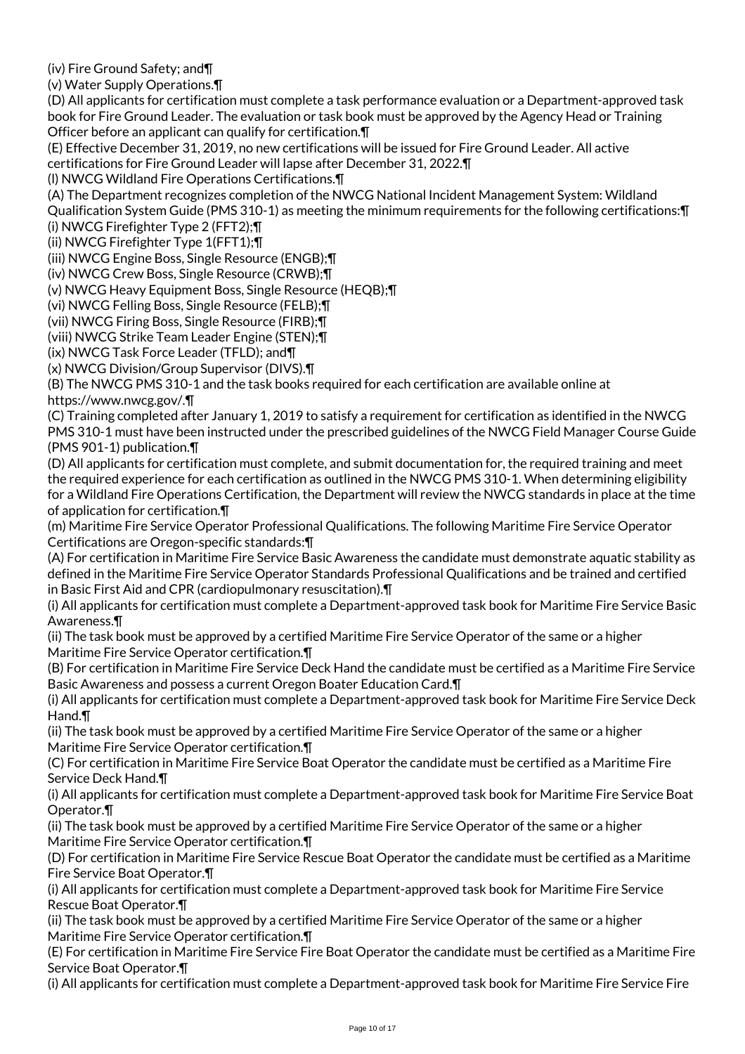(iv) Fire Ground Safety; and¶

(v) Water Supply Operations.¶

(D) All applicants for certification must complete a task performance evaluation or a Department-approved task book for Fire Ground Leader. The evaluation or task book must be approved by the Agency Head or Training Officer before an applicant can qualify for certification.¶

(E) Effective December 31, 2019, no new certifications will be issued for Fire Ground Leader. All active certifications for Fire Ground Leader will lapse after December 31, 2022.¶

(l) NWCG Wildland Fire Operations Certifications.¶

(A) The Department recognizes completion of the NWCG National Incident Management System: Wildland

Qualification System Guide (PMS 310-1) as meeting the minimum requirements for the following certifications:¶

(i) NWCG Firefighter Type 2 (FFT2);¶

(ii) NWCG Firefighter Type 1(FFT1);¶

(iii) NWCG Engine Boss, Single Resource (ENGB);¶

(iv) NWCG Crew Boss, Single Resource (CRWB);¶

(v) NWCG Heavy Equipment Boss, Single Resource (HEQB);¶

(vi) NWCG Felling Boss, Single Resource (FELB);¶

(vii) NWCG Firing Boss, Single Resource (FIRB);¶

(viii) NWCG Strike Team Leader Engine (STEN);¶

(ix) NWCG Task Force Leader (TFLD); and¶

(x) NWCG Division/Group Supervisor (DIVS).¶

(B) The NWCG PMS 310-1 and the task books required for each certification are available online at https://www.nwcg.gov/.¶

(C) Training completed after January 1, 2019 to satisfy a requirement for certification as identified in the NWCG PMS 310-1 must have been instructed under the prescribed guidelines of the NWCG Field Manager Course Guide (PMS 901-1) publication.¶

(D) All applicants for certification must complete, and submit documentation for, the required training and meet the required experience for each certification as outlined in the NWCG PMS 310-1. When determining eligibility for a Wildland Fire Operations Certification, the Department will review the NWCG standards in place at the time of application for certification.¶

(m) Maritime Fire Service Operator Professional Qualifications. The following Maritime Fire Service Operator Certifications are Oregon-specific standards:¶

(A) For certification in Maritime Fire Service Basic Awareness the candidate must demonstrate aquatic stability as defined in the Maritime Fire Service Operator Standards Professional Qualifications and be trained and certified in Basic First Aid and CPR (cardiopulmonary resuscitation).¶

(i) All applicants for certification must complete a Department-approved task book for Maritime Fire Service Basic Awareness.¶

(ii) The task book must be approved by a certified Maritime Fire Service Operator of the same or a higher Maritime Fire Service Operator certification.¶

(B) For certification in Maritime Fire Service Deck Hand the candidate must be certified as a Maritime Fire Service Basic Awareness and possess a current Oregon Boater Education Card.¶

(i) All applicants for certification must complete a Department-approved task book for Maritime Fire Service Deck Hand.¶

(ii) The task book must be approved by a certified Maritime Fire Service Operator of the same or a higher Maritime Fire Service Operator certification.¶

(C) For certification in Maritime Fire Service Boat Operator the candidate must be certified as a Maritime Fire Service Deck Hand.¶

(i) All applicants for certification must complete a Department-approved task book for Maritime Fire Service Boat Operator.¶

(ii) The task book must be approved by a certified Maritime Fire Service Operator of the same or a higher Maritime Fire Service Operator certification.¶

(D) For certification in Maritime Fire Service Rescue Boat Operator the candidate must be certified as a Maritime Fire Service Boat Operator.¶

(i) All applicants for certification must complete a Department-approved task book for Maritime Fire Service Rescue Boat Operator.¶

(ii) The task book must be approved by a certified Maritime Fire Service Operator of the same or a higher Maritime Fire Service Operator certification.¶

(E) For certification in Maritime Fire Service Fire Boat Operator the candidate must be certified as a Maritime Fire Service Boat Operator.¶

(i) All applicants for certification must complete a Department-approved task book for Maritime Fire Service Fire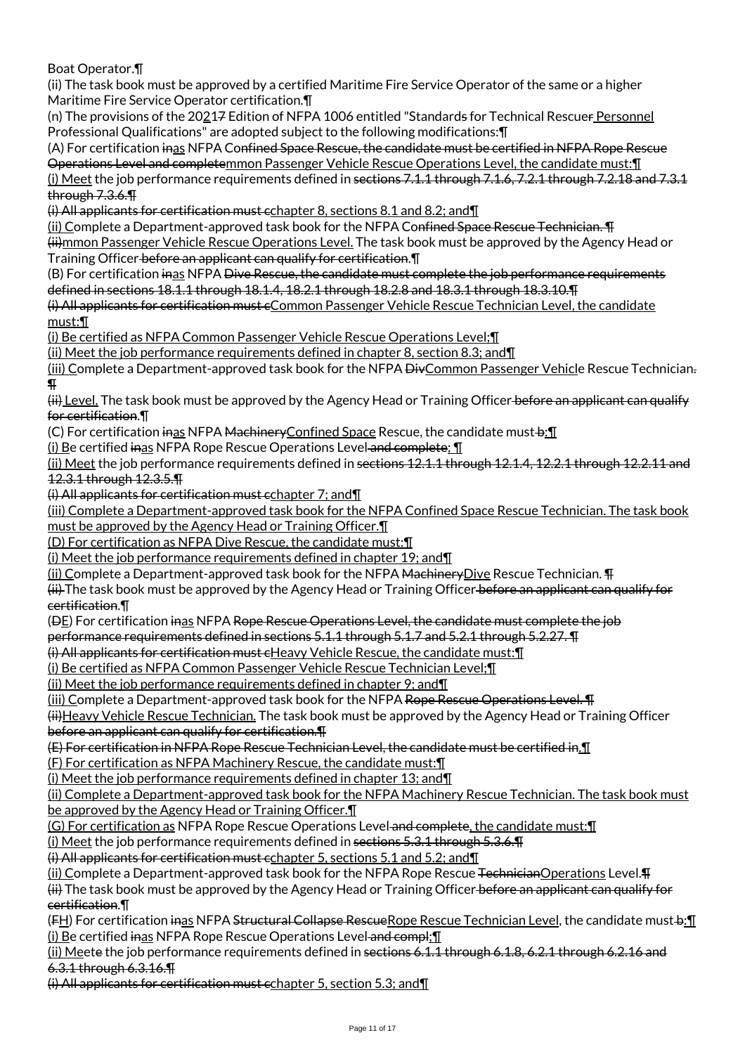Boat Operator.¶

(ii) The task book must be approved by a certified Maritime Fire Service Operator of the same or a higher Maritime Fire Service Operator certification.¶

(n) The provisions of the 20217 Edition of NFPA 1006 entitled "Standards for Technical Rescuer Personnel Professional Qualifications" are adopted subject to the following modifications:¶

(A) For certification inas NFPA Confined Space Rescue, the candidate must be certified in NFPA Rope Rescue Operations Level and completemmon Passenger Vehicle Rescue Operations Level, the candidate must:¶

(i) Meet the job performance requirements defined in sections 7.1.1 through 7.1.6, 7.2.1 through 7.2.18 and 7.3.1 through 7.3.6.¶

(i) All applicants for certification must cchapter 8, sections 8.1 and 8.2; and¶

(ii) Complete a Department-approved task book for the NFPA Co<del>nfined Space Rescue Technician. ¶</del> (ii)mmon Passenger Vehicle Rescue Operations Level. The task book must be approved by the Agency Head or Training Officer before an applicant can qualify for certification.¶

(B) For certification inas NFPA Dive Rescue, the candidate must complete the job performance requirements defined in sections 18.1.1 through 18.1.4, 18.2.1 through 18.2.8 and 18.3.1 through 18.3.10.¶

(i) All applicants for certification must cCommon Passenger Vehicle Rescue Technician Level, the candidate must:¶

(i) Be certified as NFPA Common Passenger Vehicle Rescue Operations Level;¶

(ii) Meet the job performance requirements defined in chapter 8, section 8.3; and¶

(iii) Complete a Department-approved task book for the NFPA <del>Div</del>Common Passenger Vehicle Rescue Technician. ¶

(ii) Level. The task book must be approved by the Agency Head or Training Officer before an applicant can qualify for certification.¶

(C) For certification inas NFPA Machinery Confined Space Rescue, the candidate must b: [[

(i) Be certified inas NFPA Rope Rescue Operations Level and complete; ¶

(ii) Meet the job performance requirements defined in sections 12.1.1 through 12.1.4, 12.2.1 through 12.2.11 and 12.3.1 through 12.3.5.¶

(i) All applicants for certification must cchapter 7; and¶

(iii) Complete a Department-approved task book for the NFPA Confined Space Rescue Technician. The task book must be approved by the Agency Head or Training Officer.¶

(D) For certification as NFPA Dive Rescue, the candidate must:¶

(i) Meet the job performance requirements defined in chapter 19; and¶

(ii) Complete a Department-approved task book for the NFPA Machinery Dive Rescue Technician. **TH** 

(ii) The task book must be approved by the Agency Head or Training Officer before an applicant can qualify for certification.¶

( $\Theta$ E) For certification inas NFPA Rope Rescue Operations Level, the candidate must complete the job

performance requirements defined in sections 5.1.1 through 5.1.7 and 5.2.1 through 5.2.27. ¶

(i) All applicants for certification must cHeavy Vehicle Rescue, the candidate must:¶

(i) Be certified as NFPA Common Passenger Vehicle Rescue Technician Level;¶

(ii) Meet the job performance requirements defined in chapter 9; and¶

(iii) Complete a Department-approved task book for the NFPA Rope Rescue Operations Level. T

(ii)Heavy Vehicle Rescue Technician. The task book must be approved by the Agency Head or Training Officer before an applicant can qualify for certification.¶

(E) For certification in NFPA Rope Rescue Technician Level, the candidate must be certified in.¶

(F) For certification as NFPA Machinery Rescue, the candidate must:¶

(i) Meet the job performance requirements defined in chapter 13; and  $\P$ 

(ii) Complete a Department-approved task book for the NFPA Machinery Rescue Technician. The task book must be approved by the Agency Head or Training Officer.¶

(G) For certification as NFPA Rope Rescue Operations Level and complete, the candidate must:¶

(i) Meet the job performance requirements defined in sections 5.3.1 through 5.3.6.¶

(i) All applicants for certification must cchapter 5, sections 5.1 and 5.2; and¶

(ii) Complete a Department-approved task book for the NFPA Rope Rescue <del>Technician</del>Operations Level. <sup>[4]</sup> (ii) The task book must be approved by the Agency Head or Training Officer before an applicant can qualify for certification.¶

(FH) For certification inas NFPA Structural Collapse RescueRope Rescue Technician Level, the candidate must b: 1 (i) Be certified inas NFPA Rope Rescue Operations Level and compl; I

(ii) Meete the job performance requirements defined in sections 6.1.1 through 6.1.8, 6.2.1 through 6.2.16 and 6.3.1 through 6.3.16.¶

(i) All applicants for certification must cchapter 5, section 5.3; and¶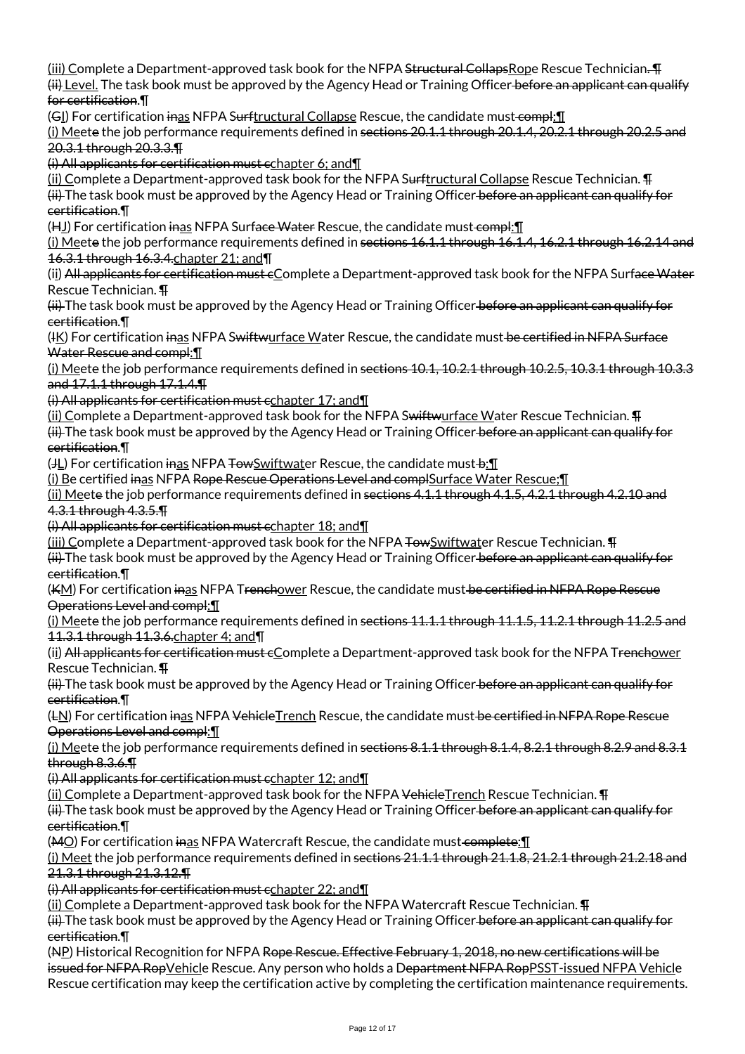(iii) Complete a Department-approved task book for the NFPA Structural CollapsRope Rescue Technician. (ii) Level. The task book must be approved by the Agency Head or Training Officer before an applicant can qualify for certification.¶

(GI) For certification inas NFPA Surftructural Collapse Rescue, the candidate must compl: 1

(i) Meete the job performance requirements defined in sections 20.1.1 through 20.1.4, 20.2.1 through 20.2.5 and 20.3.1 through 20.3.3.¶

(i) All applicants for certification must cchapter 6; and¶

(ii) Complete a Department-approved task book for the NFPA Surftructural Collapse Rescue Technician. \[

(ii) The task book must be approved by the Agency Head or Training Officer before an applicant can qualify for certification.¶

(HJ) For certification inas NFPA Surface Water Rescue, the candidate must compl: [

(i) Meete the job performance requirements defined in sections  $16.1.1$  through  $16.1.4$ ,  $16.2.1$  through  $16.2.14$  and 16.3.1 through 16.3.4.chapter 21; and¶

(ii) All applicants for certification must  $c$ Complete a Department-approved task book for the NFPA Surface Water Rescue Technician. ¶

(ii) The task book must be approved by the Agency Head or Training Officer before an applicant can qualify for certification.¶

(IK) For certification inas NFPA Swiftwurface Water Rescue, the candidate must be certified in NFPA Surface Water Rescue and compl:¶

(i) Meete the job performance requirements defined in sections  $10.1$ ,  $10.2.1$  through  $10.2.5$ ,  $10.3.1$  through  $10.3.3$ and 17.1.1 through 17.1.4.¶

(i) All applicants for certification must cchapter 17; and¶

 $(iii)$  Complete a Department-approved task book for the NFPA Swiftwurface Water Rescue Technician.  $\Pi$ 

(ii) The task book must be approved by the Agency Head or Training Officer before an applicant can qualify for certification.¶

(JL) For certification inas NFPA TowSwiftwater Rescue, the candidate must+b: [1]

(i) Be certified inas NFPA Rope Rescue Operations Level and complSurface Water Rescue;¶

(ii) Meete the job performance requirements defined in sections 4.1.1 through 4.1.5, 4.2.1 through 4.2.10 and 4.3.1 through 4.3.5.¶

(i) All applicants for certification must cchapter 18; and¶

(iii) Complete a Department-approved task book for the NFPA  $\overline{F}$  TowSwiftwater Rescue Technician.  $\P$ 

(ii) The task book must be approved by the Agency Head or Training Officer before an applicant can qualify for certification.¶

(KM) For certification inas NFPA Trenchower Rescue, the candidate must be certified in NFPA Rope Rescue Operations Level and compl:¶

(i) Meete the job performance requirements defined in sections 11.1.1 through 11.1.5, 11.2.1 through 11.2.5 and 11.3.1 through 11.3.6.chapter 4; and¶

(ii) All applicants for certification must cComplete a Department-approved task book for the NFPA Trenchower Rescue Technician. ¶

(ii) The task book must be approved by the Agency Head or Training Officer before an applicant can qualify for certification.¶

(LN) For certification inas NFPA Vehicle Trench Rescue, the candidate must be certified in NFPA Rope Rescue Operations Level and compl:¶

(i) Meete the job performance requirements defined in sections 8.1.1 through 8.1.4, 8.2.1 through 8.2.9 and 8.3.1 through 8.3.6.¶

(i) All applicants for certification must cchapter 12; and¶

(ii) Complete a Department-approved task book for the NFPA Vehicle Trench Rescue Technician. \[

(ii) The task book must be approved by the Agency Head or Training Officer before an applicant can qualify for certification.¶

(MO) For certification inas NFPA Watercraft Rescue, the candidate must complete: I

(i) Meet the job performance requirements defined in sections  $21.1.1$  through  $21.1.8$ ,  $21.2.1$  through  $21.2.18$  and 21.3.1 through 21.3.12.¶

(i) All applicants for certification must cchapter 22; and¶

 $(iii)$  Complete a Department-approved task book for the NFPA Watercraft Rescue Technician.  $\Pi$ 

(ii) The task book must be approved by the Agency Head or Training Officer before an applicant can qualify for certification.¶

(NP) Historical Recognition for NFPA Rope Rescue. Effective February 1, 2018, no new certifications will be issued for NFPA RopVehicle Rescue. Any person who holds a Department NFPA RopPSST-issued NFPA Vehicle Rescue certification may keep the certification active by completing the certification maintenance requirements.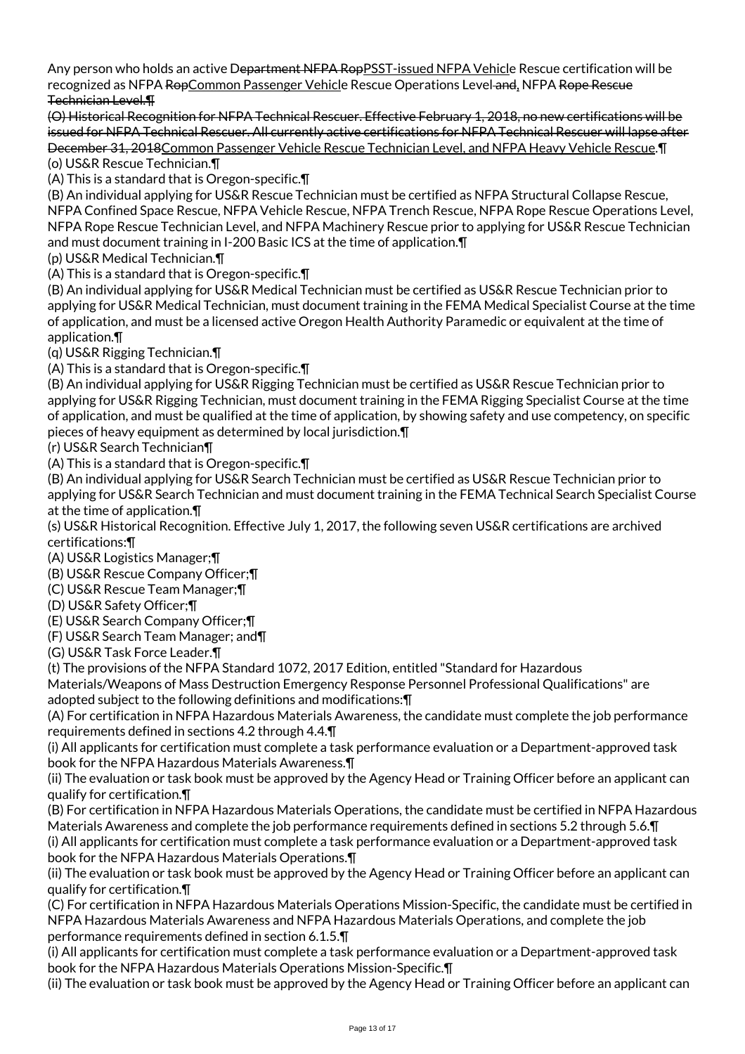Any person who holds an active Department NFPA RopPSST-issued NFPA Vehicle Rescue certification will be recognized as NFPA RopCommon Passenger Vehicle Rescue Operations Level and, NFPA Rope Rescue Technician Level.¶

(O) Historical Recognition for NFPA Technical Rescuer. Effective February 1, 2018, no new certifications will be issued for NFPA Technical Rescuer. All currently active certifications for NFPA Technical Rescuer will lapse after December 31, 2018Common Passenger Vehicle Rescue Technician Level, and NFPA Heavy Vehicle Rescue.¶ (o) US&R Rescue Technician.¶

(A) This is a standard that is Oregon-specific.¶

(B) An individual applying for US&R Rescue Technician must be certified as NFPA Structural Collapse Rescue, NFPA Confined Space Rescue, NFPA Vehicle Rescue, NFPA Trench Rescue, NFPA Rope Rescue Operations Level, NFPA Rope Rescue Technician Level, and NFPA Machinery Rescue prior to applying for US&R Rescue Technician and must document training in I-200 Basic ICS at the time of application.¶

(p) US&R Medical Technician.¶

(A) This is a standard that is Oregon-specific.¶

(B) An individual applying for US&R Medical Technician must be certified as US&R Rescue Technician prior to applying for US&R Medical Technician, must document training in the FEMA Medical Specialist Course at the time of application, and must be a licensed active Oregon Health Authority Paramedic or equivalent at the time of application.¶

(q) US&R Rigging Technician.¶

(A) This is a standard that is Oregon-specific.¶

(B) An individual applying for US&R Rigging Technician must be certified as US&R Rescue Technician prior to applying for US&R Rigging Technician, must document training in the FEMA Rigging Specialist Course at the time of application, and must be qualified at the time of application, by showing safety and use competency, on specific pieces of heavy equipment as determined by local jurisdiction.¶

(r) US&R Search Technician¶

(A) This is a standard that is Oregon-specific.¶

(B) An individual applying for US&R Search Technician must be certified as US&R Rescue Technician prior to applying for US&R Search Technician and must document training in the FEMA Technical Search Specialist Course at the time of application.¶

(s) US&R Historical Recognition. Effective July 1, 2017, the following seven US&R certifications are archived certifications:¶

(A) US&R Logistics Manager;¶

(B) US&R Rescue Company Officer;¶

(C) US&R Rescue Team Manager;¶

(D) US&R Safety Officer;¶

(E) US&R Search Company Officer;¶

(F) US&R Search Team Manager; and¶

(G) US&R Task Force Leader.¶

(t) The provisions of the NFPA Standard 1072, 2017 Edition, entitled "Standard for Hazardous Materials/Weapons of Mass Destruction Emergency Response Personnel Professional Qualifications" are adopted subject to the following definitions and modifications:¶

(A) For certification in NFPA Hazardous Materials Awareness, the candidate must complete the job performance requirements defined in sections 4.2 through 4.4.¶

(i) All applicants for certification must complete a task performance evaluation or a Department-approved task book for the NFPA Hazardous Materials Awareness.¶

(ii) The evaluation or task book must be approved by the Agency Head or Training Officer before an applicant can qualify for certification.¶

(B) For certification in NFPA Hazardous Materials Operations, the candidate must be certified in NFPA Hazardous Materials Awareness and complete the job performance requirements defined in sections 5.2 through 5.6.¶ (i) All applicants for certification must complete a task performance evaluation or a Department-approved task

book for the NFPA Hazardous Materials Operations.¶

(ii) The evaluation or task book must be approved by the Agency Head or Training Officer before an applicant can qualify for certification.¶

(C) For certification in NFPA Hazardous Materials Operations Mission-Specific, the candidate must be certified in NFPA Hazardous Materials Awareness and NFPA Hazardous Materials Operations, and complete the job performance requirements defined in section 6.1.5.¶

(i) All applicants for certification must complete a task performance evaluation or a Department-approved task book for the NFPA Hazardous Materials Operations Mission-Specific.¶

(ii) The evaluation or task book must be approved by the Agency Head or Training Officer before an applicant can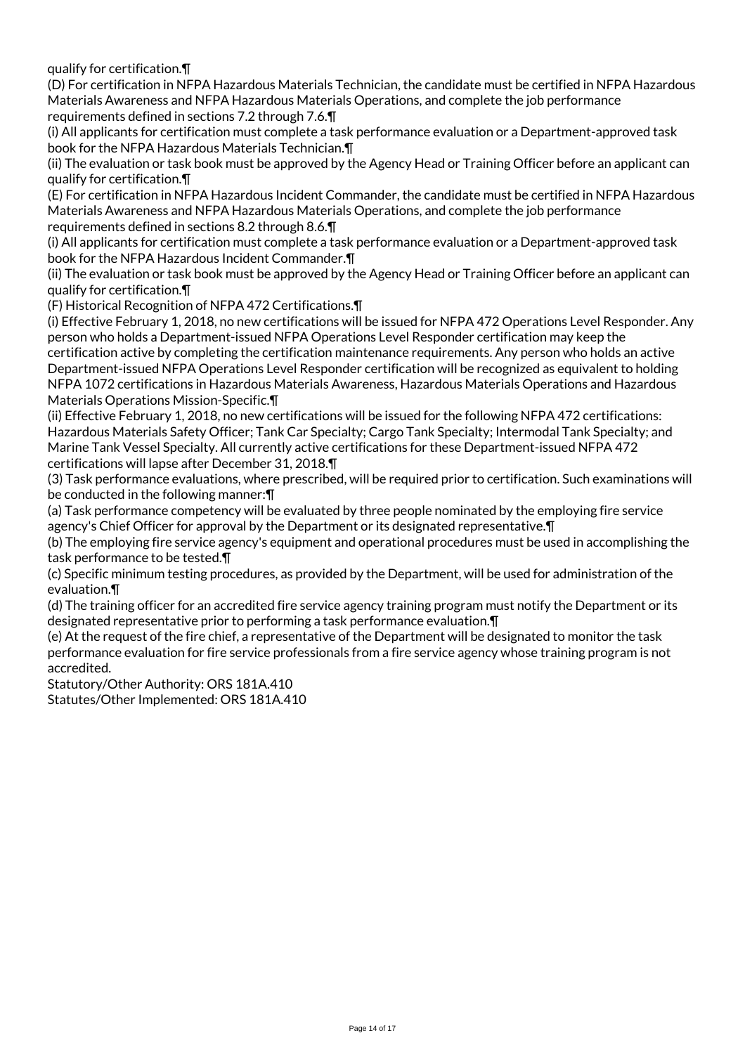qualify for certification.¶

(D) For certification in NFPA Hazardous Materials Technician, the candidate must be certified in NFPA Hazardous Materials Awareness and NFPA Hazardous Materials Operations, and complete the job performance requirements defined in sections 7.2 through 7.6.¶

(i) All applicants for certification must complete a task performance evaluation or a Department-approved task book for the NFPA Hazardous Materials Technician.¶

(ii) The evaluation or task book must be approved by the Agency Head or Training Officer before an applicant can qualify for certification.¶

(E) For certification in NFPA Hazardous Incident Commander, the candidate must be certified in NFPA Hazardous Materials Awareness and NFPA Hazardous Materials Operations, and complete the job performance requirements defined in sections 8.2 through 8.6.¶

(i) All applicants for certification must complete a task performance evaluation or a Department-approved task book for the NFPA Hazardous Incident Commander.¶

(ii) The evaluation or task book must be approved by the Agency Head or Training Officer before an applicant can qualify for certification.¶

(F) Historical Recognition of NFPA 472 Certifications.¶

(i) Effective February 1, 2018, no new certifications will be issued for NFPA 472 Operations Level Responder. Any person who holds a Department-issued NFPA Operations Level Responder certification may keep the certification active by completing the certification maintenance requirements. Any person who holds an active Department-issued NFPA Operations Level Responder certification will be recognized as equivalent to holding NFPA 1072 certifications in Hazardous Materials Awareness, Hazardous Materials Operations and Hazardous Materials Operations Mission-Specific.¶

(ii) Effective February 1, 2018, no new certifications will be issued for the following NFPA 472 certifications: Hazardous Materials Safety Officer; Tank Car Specialty; Cargo Tank Specialty; Intermodal Tank Specialty; and Marine Tank Vessel Specialty. All currently active certifications for these Department-issued NFPA 472 certifications will lapse after December 31, 2018.¶

(3) Task performance evaluations, where prescribed, will be required prior to certification. Such examinations will be conducted in the following manner:¶

(a) Task performance competency will be evaluated by three people nominated by the employing fire service agency's Chief Officer for approval by the Department or its designated representative. [1]

(b) The employing fire service agency's equipment and operational procedures must be used in accomplishing the task performance to be tested.¶

(c) Specific minimum testing procedures, as provided by the Department, will be used for administration of the evaluation.¶

(d) The training officer for an accredited fire service agency training program must notify the Department or its designated representative prior to performing a task performance evaluation.¶

(e) At the request of the fire chief, a representative of the Department will be designated to monitor the task performance evaluation for fire service professionals from a fire service agency whose training program is not accredited.

Statutory/Other Authority: ORS 181A.410

Statutes/Other Implemented: ORS 181A.410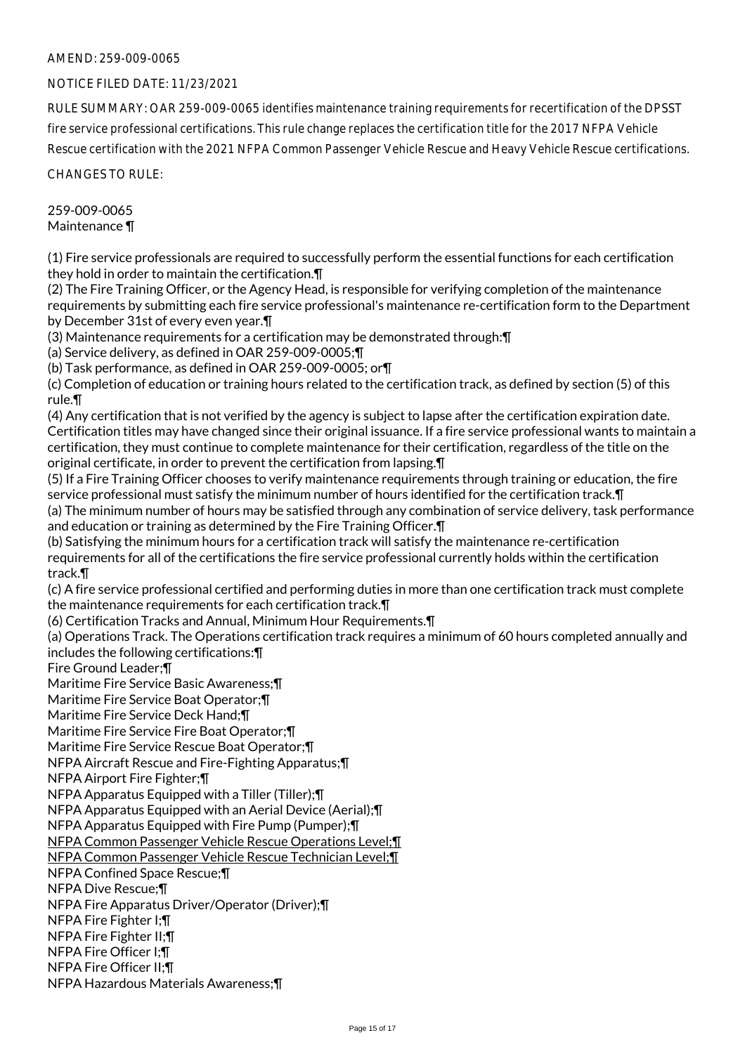## AMEND: 259-009-0065

## NOTICE FILED DATE: 11/23/2021

RULE SUMMARY: OAR 259-009-0065 identifies maintenance training requirements for recertification of the DPSST fire service professional certifications. This rule change replaces the certification title for the 2017 NFPA Vehicle Rescue certification with the 2021 NFPA Common Passenger Vehicle Rescue and Heavy Vehicle Rescue certifications.

CHANGES TO RULE:

#### 259-009-0065 Maintenance ¶

(1) Fire service professionals are required to successfully perform the essential functions for each certification they hold in order to maintain the certification.¶

(2) The Fire Training Officer, or the Agency Head, is responsible for verifying completion of the maintenance requirements by submitting each fire service professional's maintenance re-certification form to the Department by December 31st of every even year.¶

(3) Maintenance requirements for a certification may be demonstrated through:¶

(a) Service delivery, as defined in OAR 259-009-0005;¶

(b) Task performance, as defined in OAR 259-009-0005; or¶

(c) Completion of education or training hours related to the certification track, as defined by section (5) of this rule.¶

(4) Any certification that is not verified by the agency is subject to lapse after the certification expiration date. Certification titles may have changed since their original issuance. If a fire service professional wants to maintain a certification, they must continue to complete maintenance for their certification, regardless of the title on the original certificate, in order to prevent the certification from lapsing.¶

(5) If a Fire Training Officer chooses to verify maintenance requirements through training or education, the fire service professional must satisfy the minimum number of hours identified for the certification track.¶

(a) The minimum number of hours may be satisfied through any combination of service delivery, task performance and education or training as determined by the Fire Training Officer.¶

(b) Satisfying the minimum hours for a certification track will satisfy the maintenance re-certification requirements for all of the certifications the fire service professional currently holds within the certification track.¶

(c) A fire service professional certified and performing duties in more than one certification track must complete the maintenance requirements for each certification track.¶

(6) Certification Tracks and Annual, Minimum Hour Requirements.¶

(a) Operations Track. The Operations certification track requires a minimum of 60 hours completed annually and includes the following certifications:¶

Fire Ground Leader;¶

Maritime Fire Service Basic Awareness;¶

Maritime Fire Service Boat Operator;¶

Maritime Fire Service Deck Hand;¶

Maritime Fire Service Fire Boat Operator;¶

Maritime Fire Service Rescue Boat Operator;¶

NFPA Aircraft Rescue and Fire-Fighting Apparatus;¶

NFPA Airport Fire Fighter;¶

NFPA Apparatus Equipped with a Tiller (Tiller);¶

NFPA Apparatus Equipped with an Aerial Device (Aerial);¶

NFPA Apparatus Equipped with Fire Pump (Pumper);¶

NFPA Common Passenger Vehicle Rescue Operations Level;¶

NFPA Common Passenger Vehicle Rescue Technician Level;¶

NFPA Confined Space Rescue;¶

NFPA Dive Rescue;¶

NFPA Fire Apparatus Driver/Operator (Driver);¶

NFPA Fire Fighter I;¶

NFPA Fire Fighter II;¶

NFPA Fire Officer I;¶

NFPA Fire Officer II;¶ NFPA Hazardous Materials Awareness;¶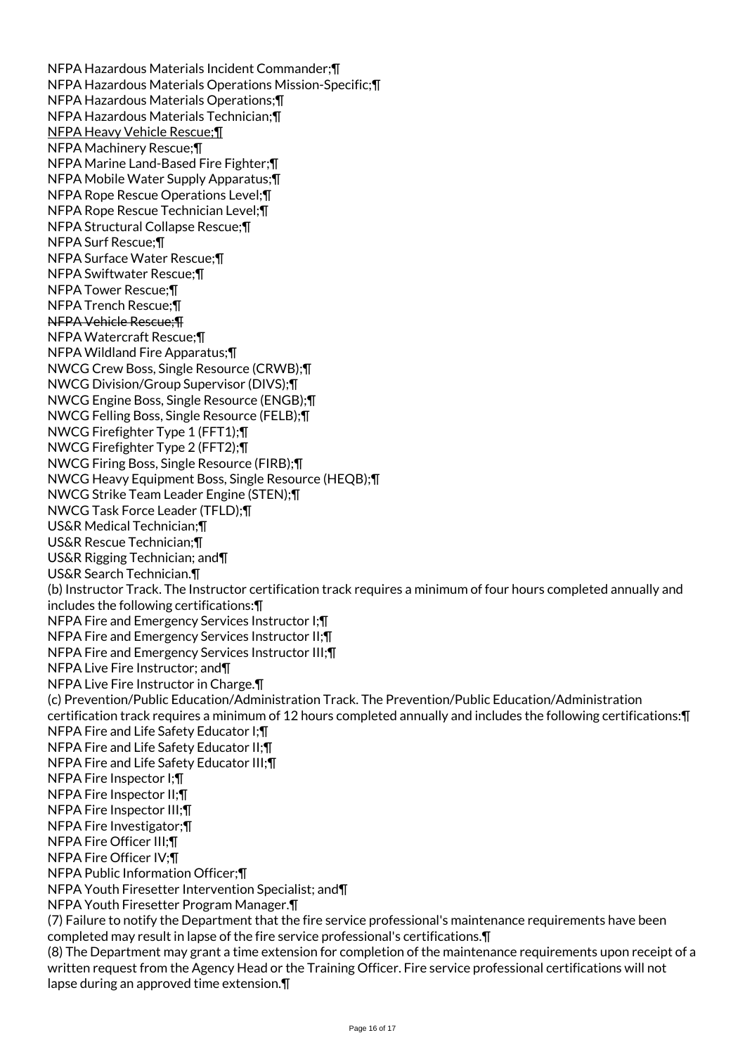NFPA Hazardous Materials Incident Commander;¶ NFPA Hazardous Materials Operations Mission-Specific;¶ NFPA Hazardous Materials Operations;¶ NFPA Hazardous Materials Technician;¶ NFPA Heavy Vehicle Rescue;¶ NFPA Machinery Rescue;¶ NFPA Marine Land-Based Fire Fighter;¶ NFPA Mobile Water Supply Apparatus;¶ NFPA Rope Rescue Operations Level;¶ NFPA Rope Rescue Technician Level;¶ NFPA Structural Collapse Rescue;¶ NFPA Surf Rescue;¶ NFPA Surface Water Rescue;¶ NFPA Swiftwater Rescue;¶ NFPA Tower Rescue;¶ NFPA Trench Rescue;¶ NFPA Vehicle Rescue;¶ NFPA Watercraft Rescue;¶ NFPA Wildland Fire Apparatus;¶ NWCG Crew Boss, Single Resource (CRWB);¶ NWCG Division/Group Supervisor (DIVS);¶ NWCG Engine Boss, Single Resource (ENGB);¶ NWCG Felling Boss, Single Resource (FELB);¶ NWCG Firefighter Type 1 (FFT1);¶ NWCG Firefighter Type 2 (FFT2);¶ NWCG Firing Boss, Single Resource (FIRB);¶ NWCG Heavy Equipment Boss, Single Resource (HEQB);¶ NWCG Strike Team Leader Engine (STEN);¶ NWCG Task Force Leader (TFLD);¶ US&R Medical Technician;¶ US&R Rescue Technician;¶ US&R Rigging Technician; and¶ US&R Search Technician.¶ (b) Instructor Track. The Instructor certification track requires a minimum of four hours completed annually and includes the following certifications:¶ NFPA Fire and Emergency Services Instructor I;¶ NFPA Fire and Emergency Services Instructor II;¶ NFPA Fire and Emergency Services Instructor III;¶ NFPA Live Fire Instructor; and¶ NFPA Live Fire Instructor in Charge.¶ (c) Prevention/Public Education/Administration Track. The Prevention/Public Education/Administration certification track requires a minimum of 12 hours completed annually and includes the following certifications:¶ NFPA Fire and Life Safety Educator I;¶ NFPA Fire and Life Safety Educator II;¶ NFPA Fire and Life Safety Educator III;¶ NFPA Fire Inspector I;¶ NFPA Fire Inspector II;¶ NFPA Fire Inspector III;¶ NFPA Fire Investigator;¶ NFPA Fire Officer III;¶ NFPA Fire Officer IV;¶ NFPA Public Information Officer;¶ NFPA Youth Firesetter Intervention Specialist; and¶ NFPA Youth Firesetter Program Manager.¶ (7) Failure to notify the Department that the fire service professional's maintenance requirements have been completed may result in lapse of the fire service professional's certifications.¶ (8) The Department may grant a time extension for completion of the maintenance requirements upon receipt of a written request from the Agency Head or the Training Officer. Fire service professional certifications will not lapse during an approved time extension.¶